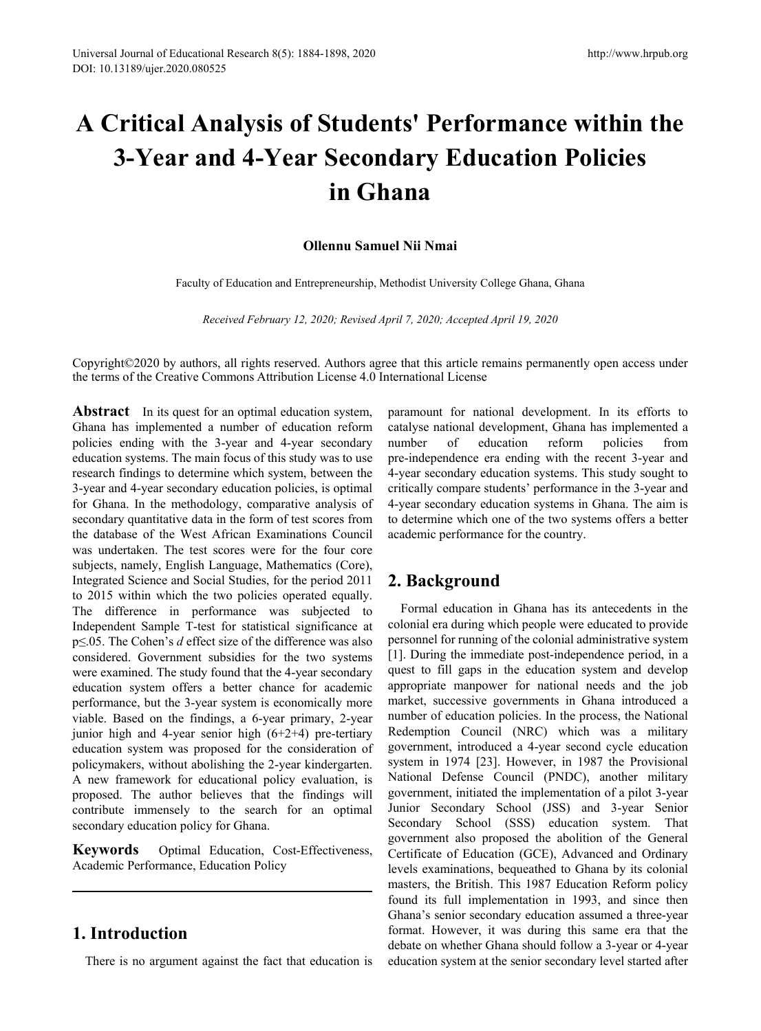# **A Critical Analysis of Students' Performance within the 3-Year and 4-Year Secondary Education Policies in Ghana**

### **Ollennu Samuel Nii Nmai**

Faculty of Education and Entrepreneurship, Methodist University College Ghana, Ghana

*Received February 12, 2020; Revised April 7, 2020; Accepted April 19, 2020*

Copyright©2020 by authors, all rights reserved. Authors agree that this article remains permanently open access under the terms of the Creative Commons Attribution License 4.0 International License

**Abstract** In its quest for an optimal education system, Ghana has implemented a number of education reform policies ending with the 3-year and 4-year secondary education systems. The main focus of this study was to use research findings to determine which system, between the 3-year and 4-year secondary education policies, is optimal for Ghana. In the methodology, comparative analysis of secondary quantitative data in the form of test scores from the database of the West African Examinations Council was undertaken. The test scores were for the four core subjects, namely, English Language, Mathematics (Core), Integrated Science and Social Studies, for the period 2011 to 2015 within which the two policies operated equally. The difference in performance was subjected to Independent Sample T-test for statistical significance at p≤.05. The Cohen's *d* effect size of the difference was also considered. Government subsidies for the two systems were examined. The study found that the 4-year secondary education system offers a better chance for academic performance, but the 3-year system is economically more viable. Based on the findings, a 6-year primary, 2-year junior high and 4-year senior high  $(6+2+4)$  pre-tertiary education system was proposed for the consideration of policymakers, without abolishing the 2-year kindergarten. A new framework for educational policy evaluation, is proposed. The author believes that the findings will contribute immensely to the search for an optimal secondary education policy for Ghana.

**Keywords** Optimal Education, Cost-Effectiveness, Academic Performance, Education Policy

# **1. Introduction**

There is no argument against the fact that education is

paramount for national development. In its efforts to catalyse national development, Ghana has implemented a number of education reform policies from pre-independence era ending with the recent 3-year and 4-year secondary education systems. This study sought to critically compare students' performance in the 3-year and 4-year secondary education systems in Ghana. The aim is to determine which one of the two systems offers a better academic performance for the country.

# **2. Background**

Formal education in Ghana has its antecedents in the colonial era during which people were educated to provide personnel for running of the colonial administrative system [1]. During the immediate post-independence period, in a quest to fill gaps in the education system and develop appropriate manpower for national needs and the job market, successive governments in Ghana introduced a number of education policies. In the process, the National Redemption Council (NRC) which was a military government, introduced a 4-year second cycle education system in 1974 [23]. However, in 1987 the Provisional National Defense Council (PNDC), another military government, initiated the implementation of a pilot 3-year Junior Secondary School (JSS) and 3-year Senior Secondary School (SSS) education system. That government also proposed the abolition of the General Certificate of Education (GCE), Advanced and Ordinary levels examinations, bequeathed to Ghana by its colonial masters, the British. This 1987 Education Reform policy found its full implementation in 1993, and since then Ghana's senior secondary education assumed a three-year format. However, it was during this same era that the debate on whether Ghana should follow a 3-year or 4-year education system at the senior secondary level started after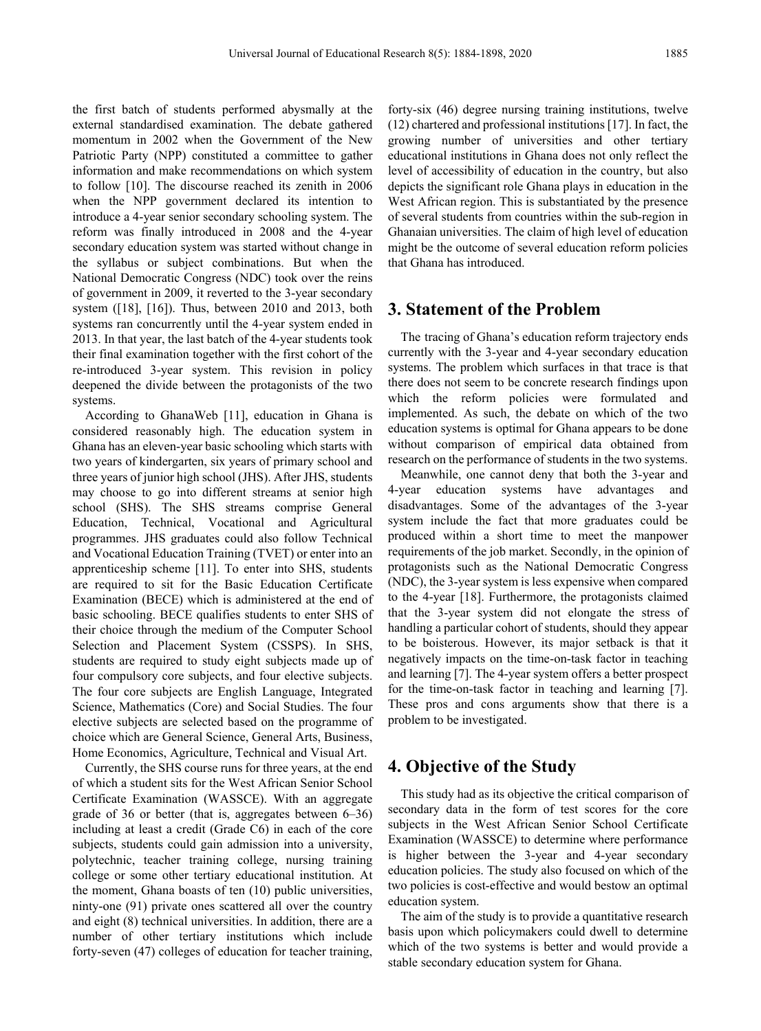the first batch of students performed abysmally at the external standardised examination. The debate gathered momentum in 2002 when the Government of the New Patriotic Party (NPP) constituted a committee to gather information and make recommendations on which system to follow [10]. The discourse reached its zenith in 2006 when the NPP government declared its intention to introduce a 4-year senior secondary schooling system. The reform was finally introduced in 2008 and the 4-year secondary education system was started without change in the syllabus or subject combinations. But when the National Democratic Congress (NDC) took over the reins of government in 2009, it reverted to the 3-year secondary system ([18], [16]). Thus, between 2010 and 2013, both systems ran concurrently until the 4-year system ended in 2013. In that year, the last batch of the 4-year students took their final examination together with the first cohort of the re-introduced 3-year system. This revision in policy deepened the divide between the protagonists of the two systems.

According to GhanaWeb [11], education in Ghana is considered reasonably high. The education system in Ghana has an eleven-year basic schooling which starts with two years of kindergarten, six years of primary school and three years of junior high school (JHS). After JHS, students may choose to go into different streams at senior high school (SHS). The SHS streams comprise General Education, Technical, Vocational and Agricultural programmes. JHS graduates could also follow Technical and Vocational Education Training (TVET) or enter into an apprenticeship scheme [11]. To enter into SHS, students are required to sit for the Basic Education Certificate Examination (BECE) which is administered at the end of basic schooling. BECE qualifies students to enter SHS of their choice through the medium of the Computer School Selection and Placement System (CSSPS). In SHS, students are required to study eight subjects made up of four compulsory core subjects, and four elective subjects. The four core subjects are English Language, Integrated Science, Mathematics (Core) and Social Studies. The four elective subjects are selected based on the programme of choice which are General Science, General Arts, Business, Home Economics, Agriculture, Technical and Visual Art.

Currently, the SHS course runs for three years, at the end of which a student sits for the West African Senior School Certificate Examination (WASSCE). With an aggregate grade of 36 or better (that is, aggregates between 6–36) including at least a credit (Grade C6) in each of the core subjects, students could gain admission into a university, polytechnic, teacher training college, nursing training college or some other tertiary educational institution. At the moment, Ghana boasts of ten (10) public universities, ninty-one (91) private ones scattered all over the country and eight (8) technical universities. In addition, there are a number of other tertiary institutions which include forty-seven (47) colleges of education for teacher training,

forty-six (46) degree nursing training institutions, twelve (12) chartered and professional institutions [17]. In fact, the growing number of universities and other tertiary educational institutions in Ghana does not only reflect the level of accessibility of education in the country, but also depicts the significant role Ghana plays in education in the West African region. This is substantiated by the presence of several students from countries within the sub-region in Ghanaian universities. The claim of high level of education might be the outcome of several education reform policies that Ghana has introduced.

### **3. Statement of the Problem**

The tracing of Ghana's education reform trajectory ends currently with the 3-year and 4-year secondary education systems. The problem which surfaces in that trace is that there does not seem to be concrete research findings upon which the reform policies were formulated and implemented. As such, the debate on which of the two education systems is optimal for Ghana appears to be done without comparison of empirical data obtained from research on the performance of students in the two systems.

Meanwhile, one cannot deny that both the 3-year and 4-year education systems have advantages and disadvantages. Some of the advantages of the 3-year system include the fact that more graduates could be produced within a short time to meet the manpower requirements of the job market. Secondly, in the opinion of protagonists such as the National Democratic Congress (NDC), the 3-year system is less expensive when compared to the 4-year [18]. Furthermore, the protagonists claimed that the 3-year system did not elongate the stress of handling a particular cohort of students, should they appear to be boisterous. However, its major setback is that it negatively impacts on the time-on-task factor in teaching and learning [7]. The 4-year system offers a better prospect for the time-on-task factor in teaching and learning [7]. These pros and cons arguments show that there is a problem to be investigated.

## **4. Objective of the Study**

This study had as its objective the critical comparison of secondary data in the form of test scores for the core subjects in the West African Senior School Certificate Examination (WASSCE) to determine where performance is higher between the 3-year and 4-year secondary education policies. The study also focused on which of the two policies is cost-effective and would bestow an optimal education system.

The aim of the study is to provide a quantitative research basis upon which policymakers could dwell to determine which of the two systems is better and would provide a stable secondary education system for Ghana.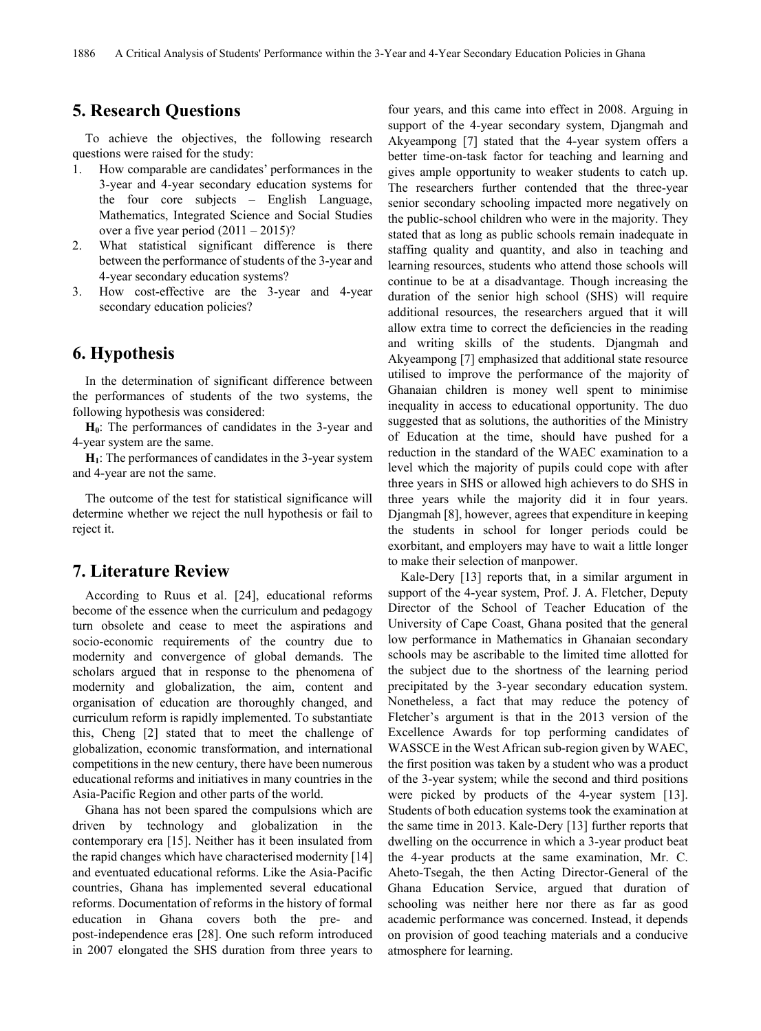# **5. Research Questions**

To achieve the objectives, the following research questions were raised for the study:

- 1. How comparable are candidates' performances in the 3-year and 4-year secondary education systems for the four core subjects – English Language, Mathematics, Integrated Science and Social Studies over a five year period  $(2011 – 2015)$ ?
- 2. What statistical significant difference is there between the performance of students of the 3-year and 4-year secondary education systems?
- 3. How cost-effective are the 3-year and 4-year secondary education policies?

# **6. Hypothesis**

In the determination of significant difference between the performances of students of the two systems, the following hypothesis was considered:

H<sub>0</sub>: The performances of candidates in the 3-year and 4-year system are the same.

**H1**: The performances of candidates in the 3-year system and 4-year are not the same.

The outcome of the test for statistical significance will determine whether we reject the null hypothesis or fail to reject it.

## **7. Literature Review**

According to Ruus et al. [24], educational reforms become of the essence when the curriculum and pedagogy turn obsolete and cease to meet the aspirations and socio-economic requirements of the country due to modernity and convergence of global demands. The scholars argued that in response to the phenomena of modernity and globalization, the aim, content and organisation of education are thoroughly changed, and curriculum reform is rapidly implemented. To substantiate this, Cheng [2] stated that to meet the challenge of globalization, economic transformation, and international competitions in the new century, there have been numerous educational reforms and initiatives in many countries in the Asia-Pacific Region and other parts of the world.

Ghana has not been spared the compulsions which are driven by technology and globalization in the contemporary era [15]. Neither has it been insulated from the rapid changes which have characterised modernity [14] and eventuated educational reforms. Like the Asia-Pacific countries, Ghana has implemented several educational reforms. Documentation of reforms in the history of formal education in Ghana covers both the pre- and post-independence eras [28]. One such reform introduced in 2007 elongated the SHS duration from three years to

four years, and this came into effect in 2008. Arguing in support of the 4-year secondary system, Djangmah and Akyeampong [7] stated that the 4-year system offers a better time-on-task factor for teaching and learning and gives ample opportunity to weaker students to catch up. The researchers further contended that the three-year senior secondary schooling impacted more negatively on the public-school children who were in the majority. They stated that as long as public schools remain inadequate in staffing quality and quantity, and also in teaching and learning resources, students who attend those schools will continue to be at a disadvantage. Though increasing the duration of the senior high school (SHS) will require additional resources, the researchers argued that it will allow extra time to correct the deficiencies in the reading and writing skills of the students. Djangmah and Akyeampong [7] emphasized that additional state resource utilised to improve the performance of the majority of Ghanaian children is money well spent to minimise inequality in access to educational opportunity. The duo suggested that as solutions, the authorities of the Ministry of Education at the time, should have pushed for a reduction in the standard of the WAEC examination to a level which the majority of pupils could cope with after three years in SHS or allowed high achievers to do SHS in three years while the majority did it in four years. Djangmah [8], however, agrees that expenditure in keeping the students in school for longer periods could be exorbitant, and employers may have to wait a little longer to make their selection of manpower.

Kale-Dery [13] reports that, in a similar argument in support of the 4-year system, Prof. J. A. Fletcher, Deputy Director of the School of Teacher Education of the University of Cape Coast, Ghana posited that the general low performance in Mathematics in Ghanaian secondary schools may be ascribable to the limited time allotted for the subject due to the shortness of the learning period precipitated by the 3-year secondary education system. Nonetheless, a fact that may reduce the potency of Fletcher's argument is that in the 2013 version of the Excellence Awards for top performing candidates of WASSCE in the West African sub-region given by WAEC, the first position was taken by a student who was a product of the 3-year system; while the second and third positions were picked by products of the 4-year system [13]. Students of both education systems took the examination at the same time in 2013. Kale-Dery [13] further reports that dwelling on the occurrence in which a 3-year product beat the 4-year products at the same examination, Mr. C. Aheto-Tsegah, the then Acting Director-General of the Ghana Education Service, argued that duration of schooling was neither here nor there as far as good academic performance was concerned. Instead, it depends on provision of good teaching materials and a conducive atmosphere for learning.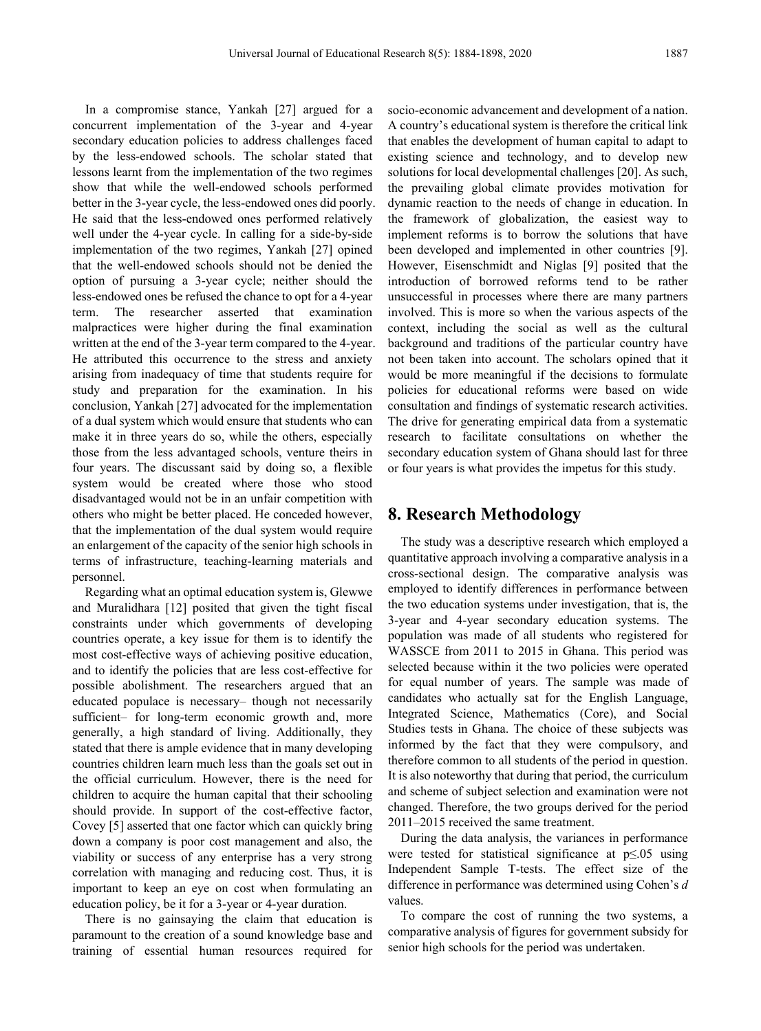In a compromise stance, Yankah [27] argued for a concurrent implementation of the 3-year and 4-year secondary education policies to address challenges faced by the less-endowed schools. The scholar stated that lessons learnt from the implementation of the two regimes show that while the well-endowed schools performed better in the 3-year cycle, the less-endowed ones did poorly. He said that the less-endowed ones performed relatively well under the 4-year cycle. In calling for a side-by-side implementation of the two regimes, Yankah [27] opined that the well-endowed schools should not be denied the option of pursuing a 3-year cycle; neither should the less-endowed ones be refused the chance to opt for a 4-year term. The researcher asserted that examination malpractices were higher during the final examination written at the end of the 3-year term compared to the 4-year. He attributed this occurrence to the stress and anxiety arising from inadequacy of time that students require for study and preparation for the examination. In his conclusion, Yankah [27] advocated for the implementation of a dual system which would ensure that students who can make it in three years do so, while the others, especially those from the less advantaged schools, venture theirs in four years. The discussant said by doing so, a flexible system would be created where those who stood disadvantaged would not be in an unfair competition with others who might be better placed. He conceded however, that the implementation of the dual system would require an enlargement of the capacity of the senior high schools in terms of infrastructure, teaching-learning materials and personnel.

Regarding what an optimal education system is, Glewwe and Muralidhara [12] posited that given the tight fiscal constraints under which governments of developing countries operate, a key issue for them is to identify the most cost-effective ways of achieving positive education, and to identify the policies that are less cost-effective for possible abolishment. The researchers argued that an educated populace is necessary– though not necessarily sufficient– for long-term economic growth and, more generally, a high standard of living. Additionally, they stated that there is ample evidence that in many developing countries children learn much less than the goals set out in the official curriculum. However, there is the need for children to acquire the human capital that their schooling should provide. In support of the cost-effective factor, Covey [5] asserted that one factor which can quickly bring down a company is poor cost management and also, the viability or success of any enterprise has a very strong correlation with managing and reducing cost. Thus, it is important to keep an eye on cost when formulating an education policy, be it for a 3-year or 4-year duration.

There is no gainsaying the claim that education is paramount to the creation of a sound knowledge base and training of essential human resources required for

socio-economic advancement and development of a nation. A country's educational system is therefore the critical link that enables the development of human capital to adapt to existing science and technology, and to develop new solutions for local developmental challenges [20]. As such, the prevailing global climate provides motivation for dynamic reaction to the needs of change in education. In the framework of globalization, the easiest way to implement reforms is to borrow the solutions that have been developed and implemented in other countries [9]. However, Eisenschmidt and Niglas [9] posited that the introduction of borrowed reforms tend to be rather unsuccessful in processes where there are many partners involved. This is more so when the various aspects of the context, including the social as well as the cultural background and traditions of the particular country have not been taken into account. The scholars opined that it would be more meaningful if the decisions to formulate policies for educational reforms were based on wide consultation and findings of systematic research activities. The drive for generating empirical data from a systematic research to facilitate consultations on whether the secondary education system of Ghana should last for three or four years is what provides the impetus for this study.

### **8. Research Methodology**

The study was a descriptive research which employed a quantitative approach involving a comparative analysis in a cross-sectional design. The comparative analysis was employed to identify differences in performance between the two education systems under investigation, that is, the 3-year and 4-year secondary education systems. The population was made of all students who registered for WASSCE from 2011 to 2015 in Ghana. This period was selected because within it the two policies were operated for equal number of years. The sample was made of candidates who actually sat for the English Language, Integrated Science, Mathematics (Core), and Social Studies tests in Ghana. The choice of these subjects was informed by the fact that they were compulsory, and therefore common to all students of the period in question. It is also noteworthy that during that period, the curriculum and scheme of subject selection and examination were not changed. Therefore, the two groups derived for the period 2011–2015 received the same treatment.

During the data analysis, the variances in performance were tested for statistical significance at p≤.05 using Independent Sample T-tests. The effect size of the difference in performance was determined using Cohen's *d* values.

To compare the cost of running the two systems, a comparative analysis of figures for government subsidy for senior high schools for the period was undertaken.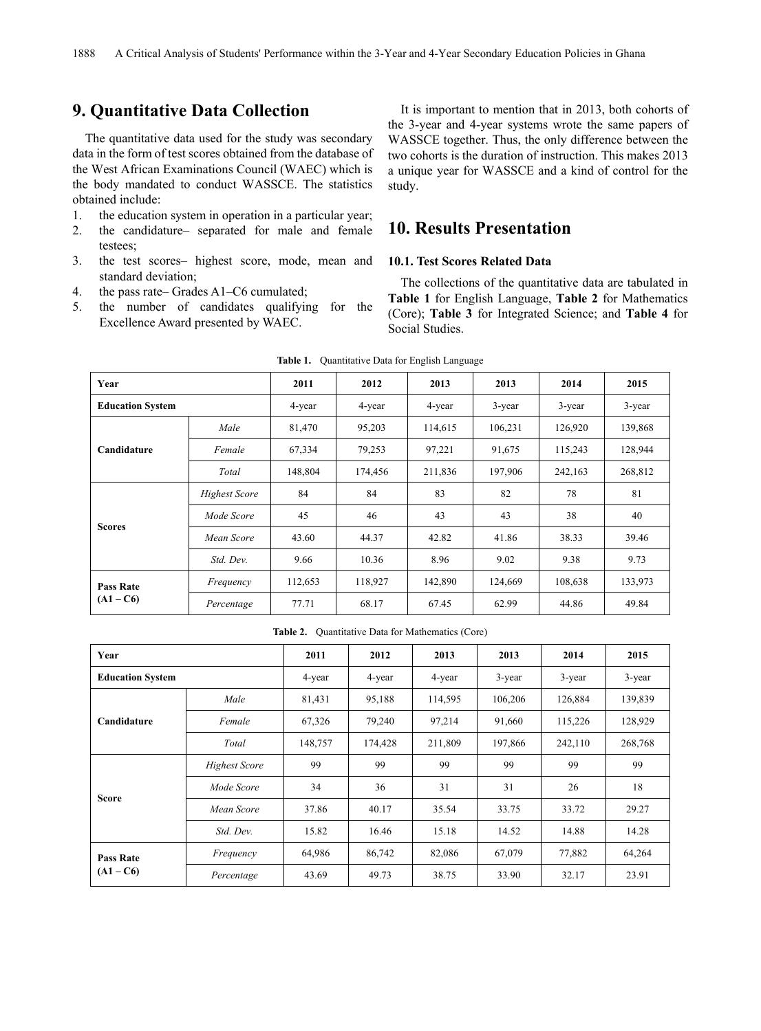# **9. Quantitative Data Collection**

The quantitative data used for the study was secondary data in the form of test scores obtained from the database of the West African Examinations Council (WAEC) which is the body mandated to conduct WASSCE. The statistics obtained include:

- 1. the education system in operation in a particular year;
- 2. the candidature– separated for male and female testees;
- 3. the test scores– highest score, mode, mean and standard deviation;
- 4. the pass rate– Grades A1–C6 cumulated;
- 5. the number of candidates qualifying for the Excellence Award presented by WAEC.

It is important to mention that in 2013, both cohorts of the 3-year and 4-year systems wrote the same papers of WASSCE together. Thus, the only difference between the two cohorts is the duration of instruction. This makes 2013 a unique year for WASSCE and a kind of control for the study.

# **10. Results Presentation**

#### **10.1. Test Scores Related Data**

The collections of the quantitative data are tabulated in **Table 1** for English Language, **Table 2** for Mathematics (Core); **Table 3** for Integrated Science; and **Table 4** for Social Studies.

| Year                    |                      | 2011    | 2012    | 2013    | 2013    | 2014      | 2015    |
|-------------------------|----------------------|---------|---------|---------|---------|-----------|---------|
| <b>Education System</b> |                      | 4-year  | 4-year  | 4-year  | 3-year  | $3$ -year | 3-year  |
|                         | Male                 | 81,470  | 95,203  | 114,615 | 106,231 | 126,920   | 139,868 |
| Candidature             | Female               | 67,334  | 79,253  | 97,221  | 91,675  | 115,243   | 128,944 |
|                         | Total                | 148,804 | 174,456 | 211,836 | 197,906 | 242,163   | 268,812 |
|                         | <b>Highest Score</b> | 84      | 84      | 83      | 82      | 78        | 81      |
|                         | Mode Score           | 45      | 46      | 43      | 43      | 38        | 40      |
| <b>Scores</b>           | Mean Score           | 43.60   | 44.37   | 42.82   | 41.86   | 38.33     | 39.46   |
|                         | Std. Dev.            | 9.66    | 10.36   | 8.96    | 9.02    | 9.38      | 9.73    |
| <b>Pass Rate</b>        | Frequency            | 112,653 | 118,927 | 142,890 | 124,669 | 108,638   | 133,973 |
| $(A1 - C6)$             | Percentage           | 77.71   | 68.17   | 67.45   | 62.99   | 44.86     | 49.84   |

Table 1. Quantitative Data for English Language

**Table 2.** Quantitative Data for Mathematics (Core)

| Year                    |                      | 2011    | 2012    | 2013    | 2013    | 2014    | 2015      |
|-------------------------|----------------------|---------|---------|---------|---------|---------|-----------|
| <b>Education System</b> |                      | 4-year  | 4-year  | 4-year  | 3-year  | 3-year  | $3$ -year |
|                         | Male                 | 81,431  | 95,188  | 114,595 | 106,206 | 126,884 | 139,839   |
| Candidature             | Female               | 67,326  | 79,240  | 97,214  | 91,660  | 115,226 | 128,929   |
|                         | Total                | 148,757 | 174,428 | 211,809 | 197,866 | 242,110 | 268,768   |
|                         | <b>Highest Score</b> | 99      | 99      | 99      | 99      | 99      | 99        |
|                         | Mode Score           | 34      | 36      | 31      | 31      | 26      | 18        |
| <b>Score</b>            | Mean Score           | 37.86   | 40.17   | 35.54   | 33.75   | 33.72   | 29.27     |
|                         | Std. Dev.            | 15.82   | 16.46   | 15.18   | 14.52   | 14.88   | 14.28     |
| <b>Pass Rate</b>        | Frequency            | 64,986  | 86,742  | 82,086  | 67,079  | 77,882  | 64,264    |
| $(A1 - C6)$             | Percentage           | 43.69   | 49.73   | 38.75   | 33.90   | 32.17   | 23.91     |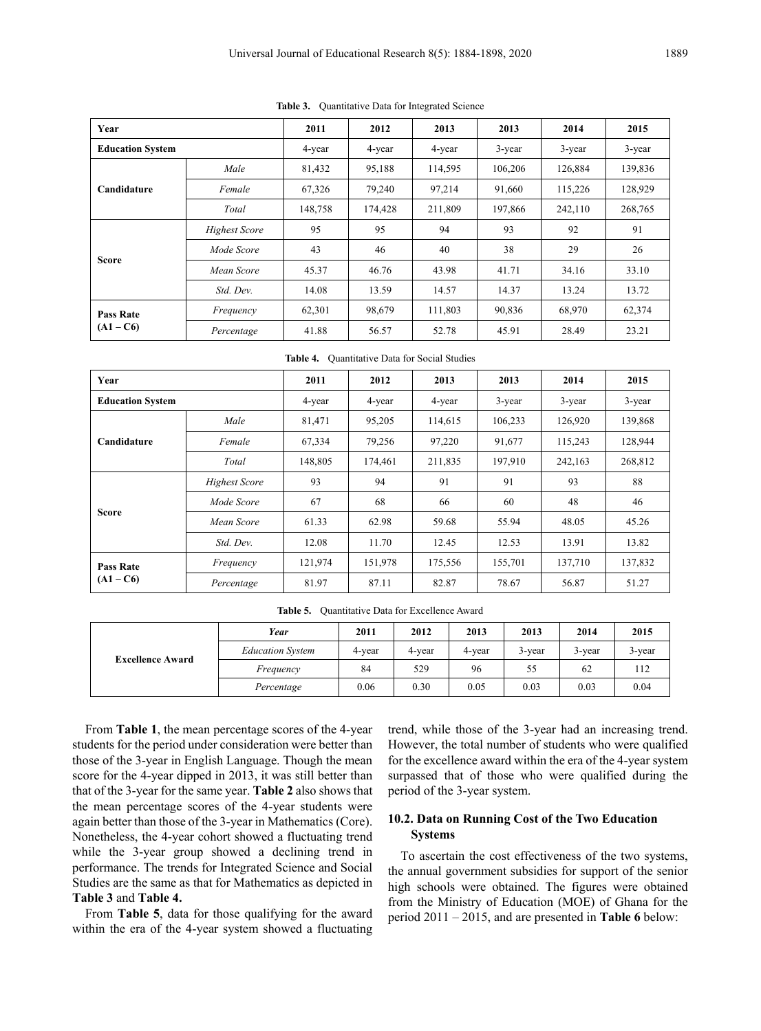| Year                    |                      | 2011    | 2012    | 2013    | 2013      | 2014    | 2015    |
|-------------------------|----------------------|---------|---------|---------|-----------|---------|---------|
| <b>Education System</b> |                      | 4-year  | 4-year  | 4-year  | $3$ -year | 3-year  | 3-year  |
|                         | Male                 | 81,432  | 95,188  | 114,595 | 106,206   | 126,884 | 139,836 |
| Candidature             | Female               | 67,326  | 79,240  | 97,214  | 91,660    | 115,226 | 128,929 |
|                         | Total                | 148,758 | 174,428 | 211,809 | 197,866   | 242,110 | 268,765 |
|                         | <b>Highest Score</b> | 95      | 95      | 94      | 93        | 92      | 91      |
|                         | Mode Score           | 43      | 46      | 40      | 38        | 29      | 26      |
| <b>Score</b>            | Mean Score           | 45.37   | 46.76   | 43.98   | 41.71     | 34.16   | 33.10   |
|                         | Std. Dev.            | 14.08   | 13.59   | 14.57   | 14.37     | 13.24   | 13.72   |
| <b>Pass Rate</b>        | Frequency            | 62,301  | 98,679  | 111,803 | 90,836    | 68,970  | 62,374  |
| $(A1 - C6)$             | Percentage           | 41.88   | 56.57   | 52.78   | 45.91     | 28.49   | 23.21   |

**Table 3.** Quantitative Data for Integrated Science

**Table 4.** Quantitative Data for Social Studies

| Year                    |                      | 2011    | 2012    | 2013    | 2013      | 2014    | 2015      |
|-------------------------|----------------------|---------|---------|---------|-----------|---------|-----------|
| <b>Education System</b> |                      | 4-year  | 4-year  | 4-year  | $3$ -year | 3-year  | $3$ -year |
|                         | Male                 | 81,471  | 95,205  | 114,615 | 106,233   | 126,920 | 139,868   |
| Candidature             | Female               | 67,334  | 79,256  | 97,220  | 91,677    | 115,243 | 128,944   |
|                         | Total                | 148,805 | 174,461 | 211,835 | 197,910   | 242,163 | 268,812   |
|                         | <b>Highest Score</b> | 93      | 94      | 91      | 91        | 93      | 88        |
|                         | Mode Score           | 67      | 68      | 66      | 60        | 48      | 46        |
| <b>Score</b>            | Mean Score           | 61.33   | 62.98   | 59.68   | 55.94     | 48.05   | 45.26     |
|                         | Std. Dev.            | 12.08   | 11.70   | 12.45   | 12.53     | 13.91   | 13.82     |
| <b>Pass Rate</b>        | Frequency            | 121,974 | 151,978 | 175,556 | 155,701   | 137,710 | 137,832   |
| $(A1 - C6)$             | Percentage           | 81.97   | 87.11   | 82.87   | 78.67     | 56.87   | 51.27     |

| Table 5.<br>Quantitative Data for Excellence Award |  |
|----------------------------------------------------|--|
|----------------------------------------------------|--|

|                         | Year                    | 2011   | 2012   | 2013   | 2013   | 2014   | 2015      |
|-------------------------|-------------------------|--------|--------|--------|--------|--------|-----------|
|                         | <b>Education System</b> | 4-year | 4-year | 4-year | 3-year | 3-year | $3$ -year |
| <b>Excellence Award</b> | Frequency               | 84     | 529    | 96     | 55     | 62     | 112       |
|                         | Percentage              | 0.06   | 0.30   | 0.05   | 0.03   | 0.03   | 0.04      |

From **Table 1**, the mean percentage scores of the 4-year students for the period under consideration were better than those of the 3-year in English Language. Though the mean score for the 4-year dipped in 2013, it was still better than that of the 3-year for the same year. **Table 2** also shows that the mean percentage scores of the 4-year students were again better than those of the 3-year in Mathematics (Core). Nonetheless, the 4-year cohort showed a fluctuating trend while the 3-year group showed a declining trend in performance. The trends for Integrated Science and Social Studies are the same as that for Mathematics as depicted in **Table 3** and **Table 4.**

From **Table 5**, data for those qualifying for the award within the era of the 4-year system showed a fluctuating trend, while those of the 3-year had an increasing trend. However, the total number of students who were qualified for the excellence award within the era of the 4-year system surpassed that of those who were qualified during the period of the 3-year system.

#### **10.2. Data on Running Cost of the Two Education Systems**

To ascertain the cost effectiveness of the two systems, the annual government subsidies for support of the senior high schools were obtained. The figures were obtained from the Ministry of Education (MOE) of Ghana for the period 2011 – 2015, and are presented in **Table 6** below: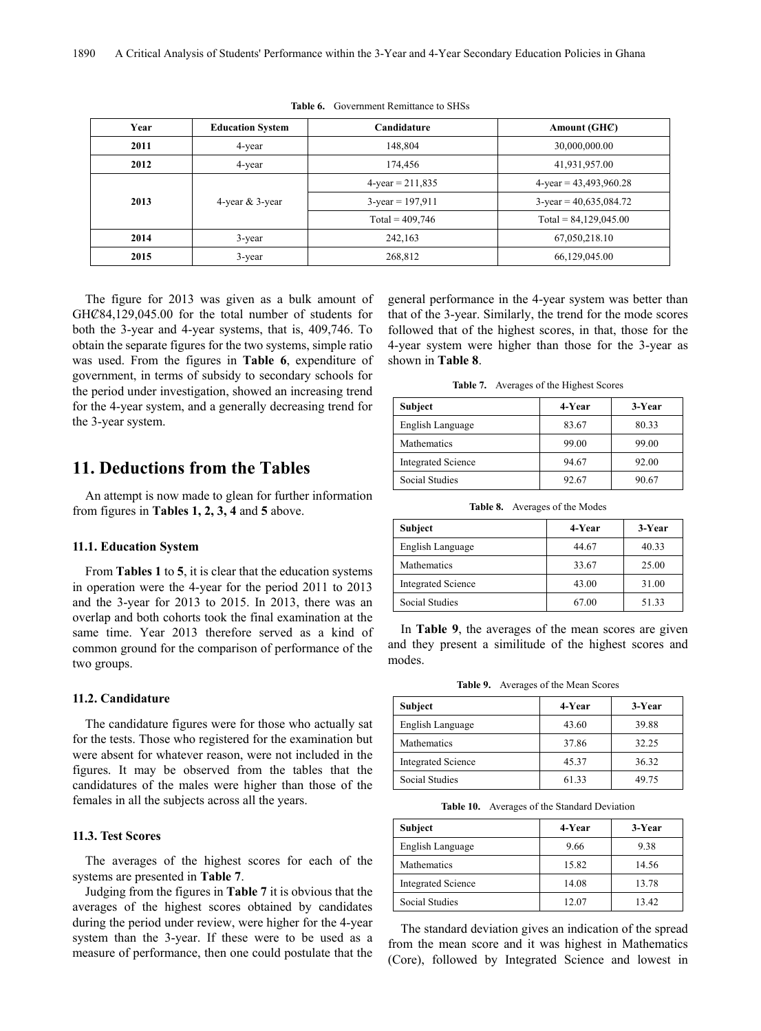| Year | <b>Education System</b> | Candidature         | Amount (GHC)              |
|------|-------------------------|---------------------|---------------------------|
| 2011 | 4-year                  | 148,804             | 30,000,000.00             |
| 2012 | 4-year                  | 174.456             | 41,931,957.00             |
|      |                         | $4$ -year = 211,835 | $4$ -year = 43,493,960.28 |
| 2013 | 4-year $&$ 3-year       | $3$ -year = 197,911 | $3$ -year = 40,635,084.72 |
|      |                         | Total = $409,746$   | Total = $84,129,045.00$   |
| 2014 | $3$ -year               | 242,163             | 67,050,218.10             |
| 2015 | 3-year                  | 268,812             | 66,129,045.00             |

**Table 6.** Government Remittance to SHSs

The figure for 2013 was given as a bulk amount of GHC<sup>84</sup>,129,045.00 for the total number of students for both the 3-year and 4-year systems, that is, 409,746. To obtain the separate figures for the two systems, simple ratio was used. From the figures in **Table 6**, expenditure of government, in terms of subsidy to secondary schools for the period under investigation, showed an increasing trend for the 4-year system, and a generally decreasing trend for the 3-year system.

# **11. Deductions from the Tables**

An attempt is now made to glean for further information from figures in **Tables 1, 2, 3, 4** and **5** above.

#### **11.1. Education System**

From **Tables 1** to **5**, it is clear that the education systems in operation were the 4-year for the period 2011 to 2013 and the 3-year for 2013 to 2015. In 2013, there was an overlap and both cohorts took the final examination at the same time. Year 2013 therefore served as a kind of common ground for the comparison of performance of the two groups.

#### **11.2. Candidature**

The candidature figures were for those who actually sat for the tests. Those who registered for the examination but were absent for whatever reason, were not included in the figures. It may be observed from the tables that the candidatures of the males were higher than those of the females in all the subjects across all the years.

#### **11.3. Test Scores**

The averages of the highest scores for each of the systems are presented in **Table 7**.

Judging from the figures in **Table 7** it is obvious that the averages of the highest scores obtained by candidates during the period under review, were higher for the 4-year system than the 3-year. If these were to be used as a measure of performance, then one could postulate that the

general performance in the 4-year system was better than that of the 3-year. Similarly, the trend for the mode scores followed that of the highest scores, in that, those for the 4-year system were higher than those for the 3-year as shown in **Table 8**.

**Table 7.** Averages of the Highest Scores

| Subject                   | 4-Year | 3-Year |
|---------------------------|--------|--------|
| English Language          | 83.67  | 80.33  |
| Mathematics               | 99.00  | 99.00  |
| <b>Integrated Science</b> | 94.67  | 92.00  |
| <b>Social Studies</b>     | 92.67  | 90.67  |

**Table 8.** Averages of the Modes

| Subject                   | 4-Year | 3-Year |
|---------------------------|--------|--------|
| English Language          | 44.67  | 40.33  |
| Mathematics               | 33.67  | 25.00  |
| <b>Integrated Science</b> | 43.00  | 31.00  |
| <b>Social Studies</b>     | 67.00  | 51.33  |

In **Table 9**, the averages of the mean scores are given and they present a similitude of the highest scores and modes.

**Table 9.** Averages of the Mean Scores

| Subject                   | 4-Year | 3-Year |
|---------------------------|--------|--------|
| English Language          | 43.60  | 39.88  |
| Mathematics               | 37.86  | 32.25  |
| <b>Integrated Science</b> | 45.37  | 36.32  |
| Social Studies            | 61.33  | 49 75  |

**Table 10.** Averages of the Standard Deviation

| Subject                   | 4-Year | 3-Year |
|---------------------------|--------|--------|
| English Language          | 9.66   | 9.38   |
| Mathematics               | 15.82  | 14.56  |
| <b>Integrated Science</b> | 14.08  | 13.78  |
| Social Studies            | 12.07  | 13.42  |

The standard deviation gives an indication of the spread from the mean score and it was highest in Mathematics (Core), followed by Integrated Science and lowest in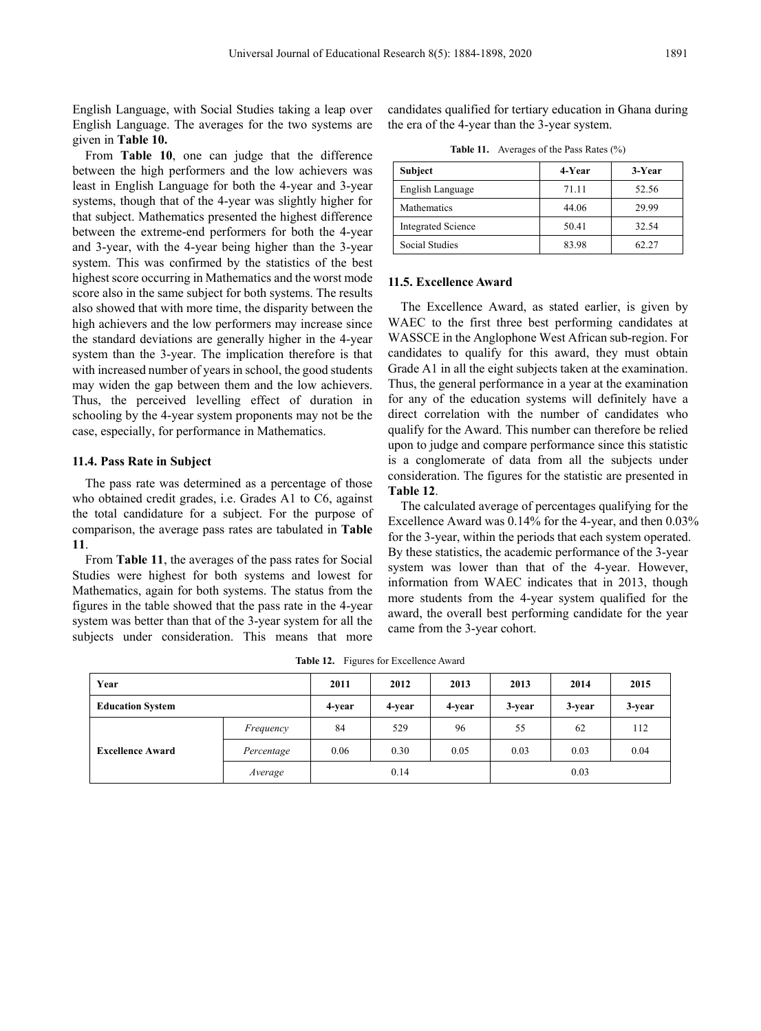English Language, with Social Studies taking a leap over English Language. The averages for the two systems are given in **Table 10.**

From **Table 10**, one can judge that the difference between the high performers and the low achievers was least in English Language for both the 4-year and 3-year systems, though that of the 4-year was slightly higher for that subject. Mathematics presented the highest difference between the extreme-end performers for both the 4-year and 3-year, with the 4-year being higher than the 3-year system. This was confirmed by the statistics of the best highest score occurring in Mathematics and the worst mode score also in the same subject for both systems. The results also showed that with more time, the disparity between the high achievers and the low performers may increase since the standard deviations are generally higher in the 4-year system than the 3-year. The implication therefore is that with increased number of years in school, the good students may widen the gap between them and the low achievers. Thus, the perceived levelling effect of duration in schooling by the 4-year system proponents may not be the case, especially, for performance in Mathematics.

#### **11.4. Pass Rate in Subject**

The pass rate was determined as a percentage of those who obtained credit grades, i.e. Grades A1 to C6, against the total candidature for a subject. For the purpose of comparison, the average pass rates are tabulated in **Table 11**.

From **Table 11**, the averages of the pass rates for Social Studies were highest for both systems and lowest for Mathematics, again for both systems. The status from the figures in the table showed that the pass rate in the 4-year system was better than that of the 3-year system for all the subjects under consideration. This means that more

candidates qualified for tertiary education in Ghana during the era of the 4-year than the 3-year system.

**Table 11.** Averages of the Pass Rates (%)

| Subject                   | 4-Year | 3-Year |
|---------------------------|--------|--------|
| English Language          | 71.11  | 52.56  |
| Mathematics               | 44.06  | 29.99  |
| <b>Integrated Science</b> | 50.41  | 32.54  |
| Social Studies            | 83.98  | 62.27  |

# **11.5. Excellence Award**

The Excellence Award, as stated earlier, is given by WAEC to the first three best performing candidates at WASSCE in the Anglophone West African sub-region. For candidates to qualify for this award, they must obtain Grade A1 in all the eight subjects taken at the examination. Thus, the general performance in a year at the examination for any of the education systems will definitely have a direct correlation with the number of candidates who qualify for the Award. This number can therefore be relied upon to judge and compare performance since this statistic is a conglomerate of data from all the subjects under consideration. The figures for the statistic are presented in **Table 12**.

The calculated average of percentages qualifying for the Excellence Award was 0.14% for the 4-year, and then 0.03% for the 3-year, within the periods that each system operated. By these statistics, the academic performance of the 3-year system was lower than that of the 4-year. However, information from WAEC indicates that in 2013, though more students from the 4-year system qualified for the award, the overall best performing candidate for the year came from the 3-year cohort.

**Table 12.** Figures for Excellence Award

| Year                    |            | 2011   | 2012   | 2013   | 2013   | 2014   | 2015   |
|-------------------------|------------|--------|--------|--------|--------|--------|--------|
| <b>Education System</b> |            | 4-year | 4-year | 4-year | 3-year | 3-year | 3-year |
| <b>Excellence Award</b> | Frequency  | 84     | 529    | 96     | 55     | 62     | 112    |
|                         | Percentage | 0.06   | 0.30   | 0.05   | 0.03   | 0.03   | 0.04   |
|                         | Average    |        | 0.14   |        |        | 0.03   |        |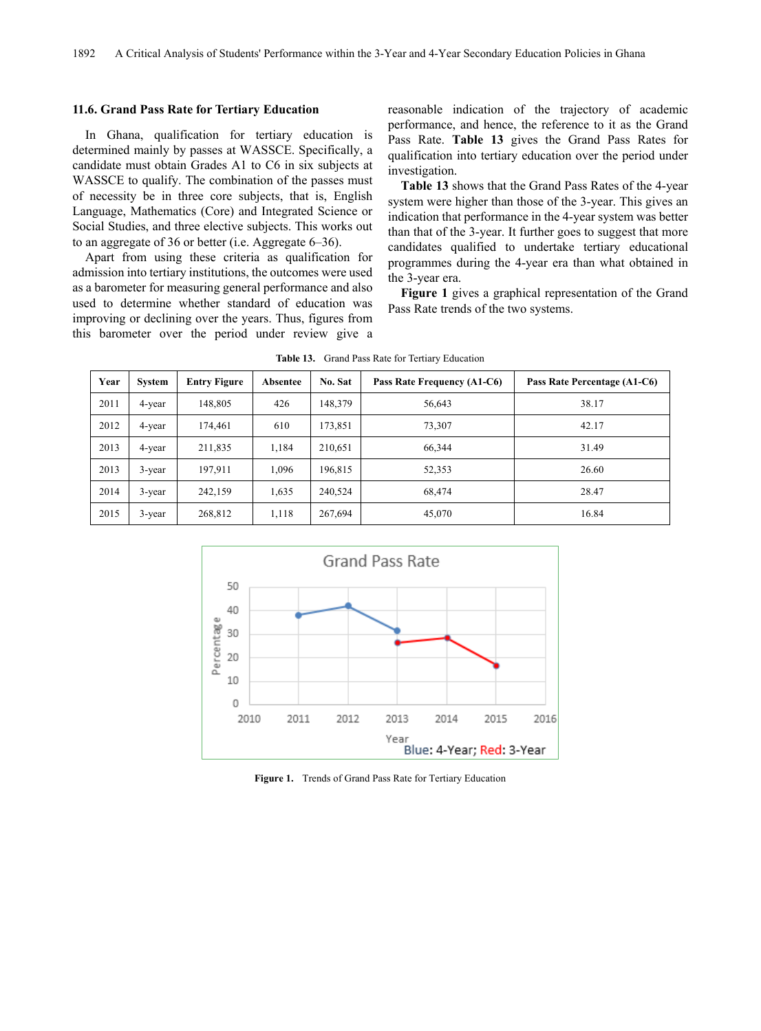#### **11.6. Grand Pass Rate for Tertiary Education**

In Ghana, qualification for tertiary education is determined mainly by passes at WASSCE. Specifically, a candidate must obtain Grades A1 to C6 in six subjects at WASSCE to qualify. The combination of the passes must of necessity be in three core subjects, that is, English Language, Mathematics (Core) and Integrated Science or Social Studies, and three elective subjects. This works out to an aggregate of 36 or better (i.e. Aggregate 6–36).

Apart from using these criteria as qualification for admission into tertiary institutions, the outcomes were used as a barometer for measuring general performance and also used to determine whether standard of education was improving or declining over the years. Thus, figures from this barometer over the period under review give a

reasonable indication of the trajectory of academic performance, and hence, the reference to it as the Grand Pass Rate. **Table 13** gives the Grand Pass Rates for qualification into tertiary education over the period under investigation.

**Table 13** shows that the Grand Pass Rates of the 4-year system were higher than those of the 3-year. This gives an indication that performance in the 4-year system was better than that of the 3-year. It further goes to suggest that more candidates qualified to undertake tertiary educational programmes during the 4-year era than what obtained in the 3-year era.

**Figure 1** gives a graphical representation of the Grand Pass Rate trends of the two systems.

| Year | System    | <b>Entry Figure</b> | Absentee | No. Sat | Pass Rate Frequency (A1-C6) | Pass Rate Percentage (A1-C6) |
|------|-----------|---------------------|----------|---------|-----------------------------|------------------------------|
| 2011 | 4-year    | 148,805             | 426      | 148,379 | 56,643                      | 38.17                        |
| 2012 | 4-year    | 174,461             | 610      | 173,851 | 73,307                      | 42.17                        |
| 2013 | 4-year    | 211,835             | 1.184    | 210,651 | 66.344                      | 31.49                        |
| 2013 | $3$ -year | 197,911             | 1,096    | 196,815 | 52,353                      | 26.60                        |
| 2014 | $3$ -year | 242,159             | 1,635    | 240,524 | 68,474                      | 28.47                        |
| 2015 | $3$ -year | 268,812             | 1,118    | 267,694 | 45,070                      | 16.84                        |

**Table 13.** Grand Pass Rate for Tertiary Education



**Figure 1.** Trends of Grand Pass Rate for Tertiary Education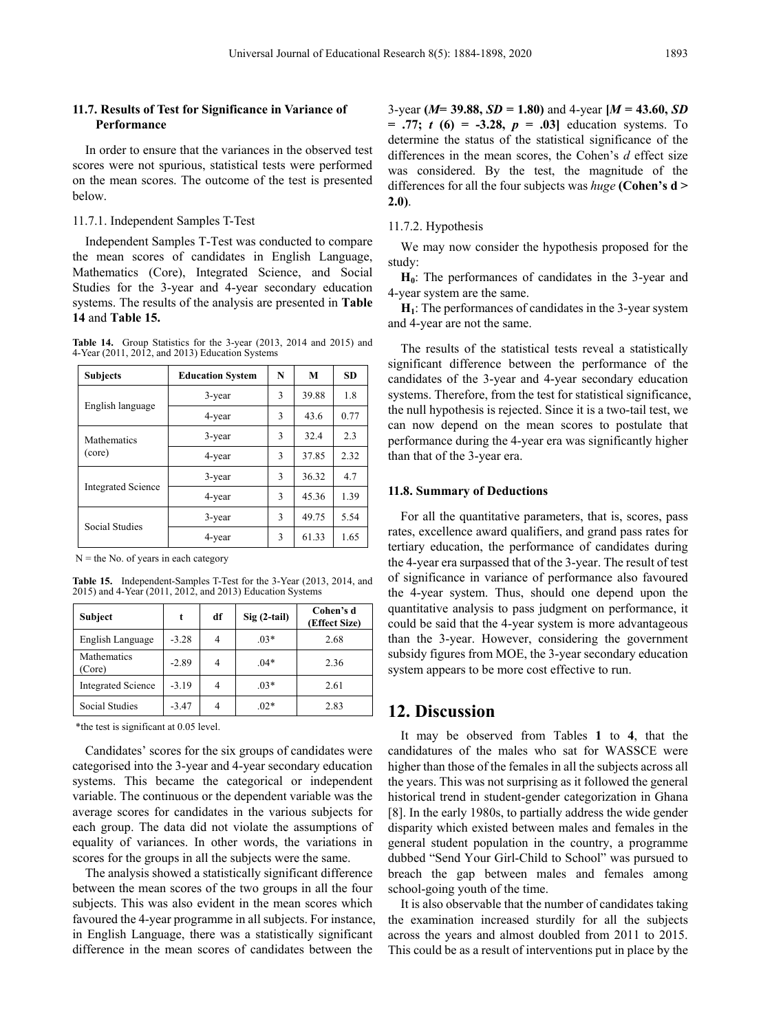#### **11.7. Results of Test for Significance in Variance of Performance**

In order to ensure that the variances in the observed test scores were not spurious, statistical tests were performed on the mean scores. The outcome of the test is presented below.

#### 11.7.1. Independent Samples T-Test

Independent Samples T-Test was conducted to compare the mean scores of candidates in English Language, Mathematics (Core), Integrated Science, and Social Studies for the 3-year and 4-year secondary education systems. The results of the analysis are presented in **Table 14** and **Table 15.**

**Table 14.** Group Statistics for the 3-year (2013, 2014 and 2015) and 4-Year (2011, 2012, and 2013) Education Systems

| <b>Subjects</b>              | <b>Education System</b> | N | М     | <b>SD</b> |
|------------------------------|-------------------------|---|-------|-----------|
|                              | 3-year                  | 3 | 39.88 | 1.8       |
| English language             | 4-year                  | 3 | 43.6  | 0.77      |
| <b>Mathematics</b><br>(core) | 3-year                  | 3 | 32.4  | 2.3       |
|                              | 4-year                  | 3 | 37.85 | 2.32      |
| <b>Integrated Science</b>    | 3-year                  | 3 | 36.32 | 4.7       |
|                              | 4-year                  | 3 | 45.36 | 1.39      |
| Social Studies               | 3-year                  | 3 | 49.75 | 5.54      |
|                              | 4-year                  | 3 | 61.33 | 1.65      |

 $N =$  the No. of years in each category

**Table 15.** Independent-Samples T-Test for the 3-Year (2013, 2014, and 2015) and 4-Year (2011, 2012, and 2013) Education Systems

| <b>Subject</b>            |         | df | $Sig(2-tail)$ | Cohen's d<br>(Effect Size) |
|---------------------------|---------|----|---------------|----------------------------|
| English Language          | $-3.28$ | 4  | $.03*$        | 2.68                       |
| Mathematics<br>(Core)     | $-2.89$ | 4  | $.04*$        | 2.36                       |
| <b>Integrated Science</b> | $-3.19$ | 4  | $.03*$        | 2.61                       |
| <b>Social Studies</b>     | $-3.47$ | 4  | $.02*$        | 2.83                       |

\*the test is significant at 0.05 level.

Candidates' scores for the six groups of candidates were categorised into the 3-year and 4-year secondary education systems. This became the categorical or independent variable. The continuous or the dependent variable was the average scores for candidates in the various subjects for each group. The data did not violate the assumptions of equality of variances. In other words, the variations in scores for the groups in all the subjects were the same.

The analysis showed a statistically significant difference between the mean scores of the two groups in all the four subjects. This was also evident in the mean scores which favoured the 4-year programme in all subjects. For instance, in English Language, there was a statistically significant difference in the mean scores of candidates between the

3-year **(***M***= 39.88,** *SD* **= 1.80)** and 4-year **[***M* **= 43.60,** *SD* **= .77;** *t* **(6) = -3.28,** *p* **= .03]** education systems. To determine the status of the statistical significance of the differences in the mean scores, the Cohen's *d* effect size was considered. By the test, the magnitude of the differences for all the four subjects was *huge* **(Cohen's d > 2.0)**.

#### 11.7.2. Hypothesis

We may now consider the hypothesis proposed for the study:

**H<sub>0</sub>**: The performances of candidates in the 3-year and 4-year system are the same.

**H1**: The performances of candidates in the 3-year system and 4-year are not the same.

The results of the statistical tests reveal a statistically significant difference between the performance of the candidates of the 3-year and 4-year secondary education systems. Therefore, from the test for statistical significance, the null hypothesis is rejected. Since it is a two-tail test, we can now depend on the mean scores to postulate that performance during the 4-year era was significantly higher than that of the 3-year era.

#### **11.8. Summary of Deductions**

For all the quantitative parameters, that is, scores, pass rates, excellence award qualifiers, and grand pass rates for tertiary education, the performance of candidates during the 4-year era surpassed that of the 3-year. The result of test of significance in variance of performance also favoured the 4-year system. Thus, should one depend upon the quantitative analysis to pass judgment on performance, it could be said that the 4-year system is more advantageous than the 3-year. However, considering the government subsidy figures from MOE, the 3-year secondary education system appears to be more cost effective to run.

## **12. Discussion**

It may be observed from Tables **1** to **4**, that the candidatures of the males who sat for WASSCE were higher than those of the females in all the subjects across all the years. This was not surprising as it followed the general historical trend in student-gender categorization in Ghana [8]. In the early 1980s, to partially address the wide gender disparity which existed between males and females in the general student population in the country, a programme dubbed "Send Your Girl-Child to School" was pursued to breach the gap between males and females among school-going youth of the time.

It is also observable that the number of candidates taking the examination increased sturdily for all the subjects across the years and almost doubled from 2011 to 2015. This could be as a result of interventions put in place by the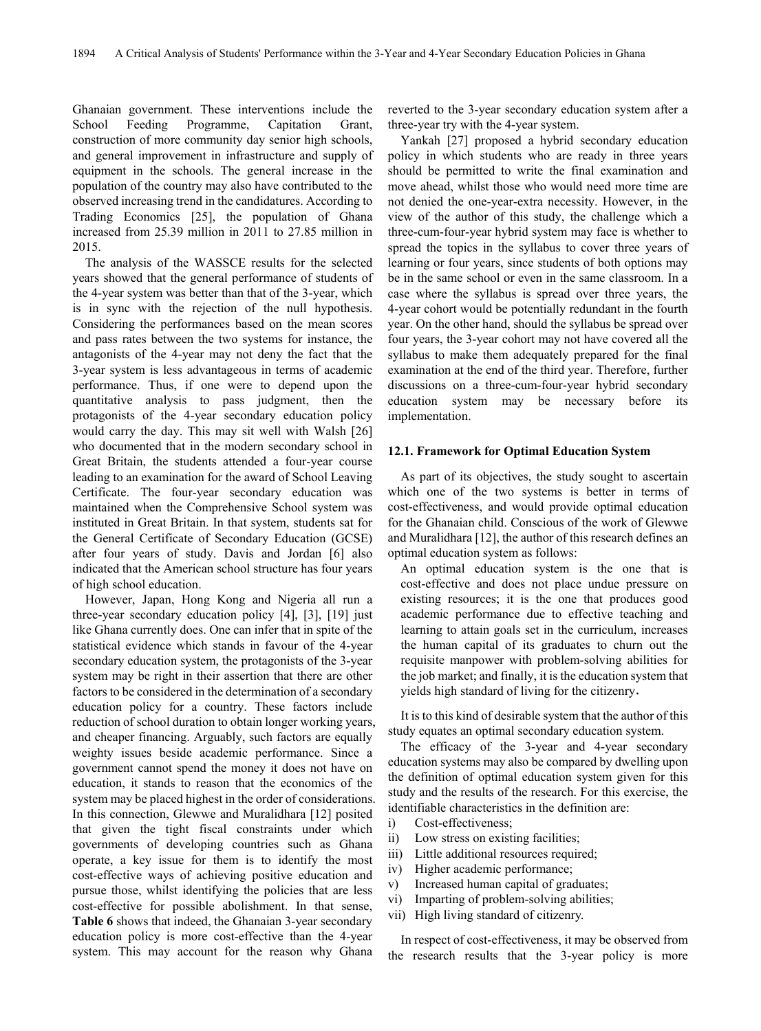Ghanaian government. These interventions include the School Feeding Programme, Capitation Grant, construction of more community day senior high schools, and general improvement in infrastructure and supply of equipment in the schools. The general increase in the population of the country may also have contributed to the observed increasing trend in the candidatures. According to Trading Economics [25], the population of Ghana increased from 25.39 million in 2011 to 27.85 million in 2015.

The analysis of the WASSCE results for the selected years showed that the general performance of students of the 4-year system was better than that of the 3-year, which is in sync with the rejection of the null hypothesis. Considering the performances based on the mean scores and pass rates between the two systems for instance, the antagonists of the 4-year may not deny the fact that the 3-year system is less advantageous in terms of academic performance. Thus, if one were to depend upon the quantitative analysis to pass judgment, then the protagonists of the 4-year secondary education policy would carry the day. This may sit well with Walsh [26] who documented that in the modern secondary school in Great Britain, the students attended a four-year course leading to an examination for the award of School Leaving Certificate. The four-year secondary education was maintained when the Comprehensive School system was instituted in Great Britain. In that system, students sat for the General Certificate of Secondary Education (GCSE) after four years of study. Davis and Jordan [6] also indicated that the American school structure has four years of high school education.

However, Japan, Hong Kong and Nigeria all run a three-year secondary education policy [4], [3], [19] just like Ghana currently does. One can infer that in spite of the statistical evidence which stands in favour of the 4-year secondary education system, the protagonists of the 3-year system may be right in their assertion that there are other factors to be considered in the determination of a secondary education policy for a country. These factors include reduction of school duration to obtain longer working years, and cheaper financing. Arguably, such factors are equally weighty issues beside academic performance. Since a government cannot spend the money it does not have on education, it stands to reason that the economics of the system may be placed highest in the order of considerations. In this connection, Glewwe and Muralidhara [12] posited that given the tight fiscal constraints under which governments of developing countries such as Ghana operate, a key issue for them is to identify the most cost-effective ways of achieving positive education and pursue those, whilst identifying the policies that are less cost-effective for possible abolishment. In that sense, **Table 6** shows that indeed, the Ghanaian 3-year secondary education policy is more cost-effective than the 4-year system. This may account for the reason why Ghana

reverted to the 3-year secondary education system after a three-year try with the 4-year system.

Yankah [27] proposed a hybrid secondary education policy in which students who are ready in three years should be permitted to write the final examination and move ahead, whilst those who would need more time are not denied the one-year-extra necessity. However, in the view of the author of this study, the challenge which a three-cum-four-year hybrid system may face is whether to spread the topics in the syllabus to cover three years of learning or four years, since students of both options may be in the same school or even in the same classroom. In a case where the syllabus is spread over three years, the 4-year cohort would be potentially redundant in the fourth year. On the other hand, should the syllabus be spread over four years, the 3-year cohort may not have covered all the syllabus to make them adequately prepared for the final examination at the end of the third year. Therefore, further discussions on a three-cum-four-year hybrid secondary education system may be necessary before its implementation.

#### **12.1. Framework for Optimal Education System**

As part of its objectives, the study sought to ascertain which one of the two systems is better in terms of cost-effectiveness, and would provide optimal education for the Ghanaian child. Conscious of the work of Glewwe and Muralidhara [12], the author of this research defines an optimal education system as follows:

An optimal education system is the one that is cost-effective and does not place undue pressure on existing resources; it is the one that produces good academic performance due to effective teaching and learning to attain goals set in the curriculum, increases the human capital of its graduates to churn out the requisite manpower with problem-solving abilities for the job market; and finally, it is the education system that yields high standard of living for the citizenry.

It is to this kind of desirable system that the author of this study equates an optimal secondary education system.

The efficacy of the 3-year and 4-year secondary education systems may also be compared by dwelling upon the definition of optimal education system given for this study and the results of the research. For this exercise, the identifiable characteristics in the definition are:

- i) Cost-effectiveness;
- ii) Low stress on existing facilities;
- iii) Little additional resources required;
- iv) Higher academic performance;
- v) Increased human capital of graduates;
- vi) Imparting of problem-solving abilities;
- vii) High living standard of citizenry.

In respect of cost-effectiveness, it may be observed from the research results that the 3-year policy is more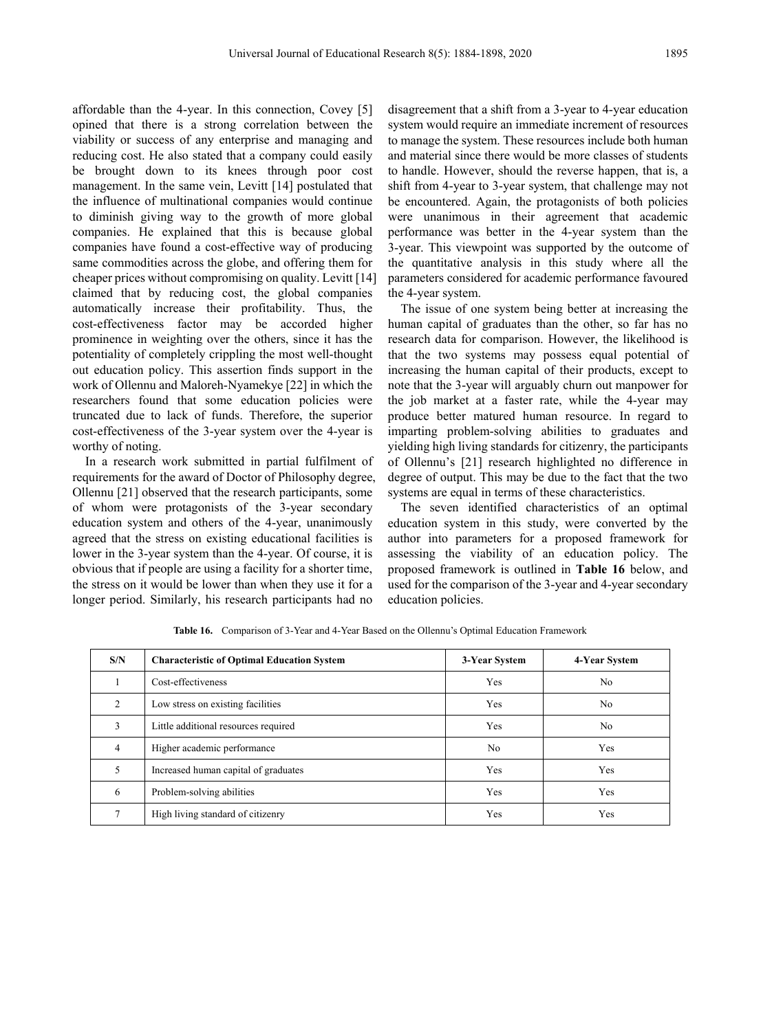affordable than the 4-year. In this connection, Covey [5] opined that there is a strong correlation between the viability or success of any enterprise and managing and reducing cost. He also stated that a company could easily be brought down to its knees through poor cost management. In the same vein, Levitt [14] postulated that the influence of multinational companies would continue to diminish giving way to the growth of more global companies. He explained that this is because global companies have found a cost-effective way of producing same commodities across the globe, and offering them for cheaper prices without compromising on quality. Levitt [14] claimed that by reducing cost, the global companies automatically increase their profitability. Thus, the cost-effectiveness factor may be accorded higher prominence in weighting over the others, since it has the potentiality of completely crippling the most well-thought out education policy. This assertion finds support in the work of Ollennu and Maloreh-Nyamekye [22] in which the researchers found that some education policies were truncated due to lack of funds. Therefore, the superior cost-effectiveness of the 3-year system over the 4-year is worthy of noting.

In a research work submitted in partial fulfilment of requirements for the award of Doctor of Philosophy degree, Ollennu [21] observed that the research participants, some of whom were protagonists of the 3-year secondary education system and others of the 4-year, unanimously agreed that the stress on existing educational facilities is lower in the 3-year system than the 4-year. Of course, it is obvious that if people are using a facility for a shorter time, the stress on it would be lower than when they use it for a longer period. Similarly, his research participants had no

disagreement that a shift from a 3-year to 4-year education system would require an immediate increment of resources to manage the system. These resources include both human and material since there would be more classes of students to handle. However, should the reverse happen, that is, a shift from 4-year to 3-year system, that challenge may not be encountered. Again, the protagonists of both policies were unanimous in their agreement that academic performance was better in the 4-year system than the 3-year. This viewpoint was supported by the outcome of the quantitative analysis in this study where all the parameters considered for academic performance favoured the 4-year system.

The issue of one system being better at increasing the human capital of graduates than the other, so far has no research data for comparison. However, the likelihood is that the two systems may possess equal potential of increasing the human capital of their products, except to note that the 3-year will arguably churn out manpower for the job market at a faster rate, while the 4-year may produce better matured human resource. In regard to imparting problem-solving abilities to graduates and yielding high living standards for citizenry, the participants of Ollennu's [21] research highlighted no difference in degree of output. This may be due to the fact that the two systems are equal in terms of these characteristics.

The seven identified characteristics of an optimal education system in this study, were converted by the author into parameters for a proposed framework for assessing the viability of an education policy. The proposed framework is outlined in **Table 16** below, and used for the comparison of the 3-year and 4-year secondary education policies.

| S/N            | <b>Characteristic of Optimal Education System</b> | 3-Year System | 4-Year System  |
|----------------|---------------------------------------------------|---------------|----------------|
|                | Cost-effectiveness                                | Yes           | N <sub>0</sub> |
| $\overline{c}$ | Low stress on existing facilities                 | Yes           | No             |
| 3              | Little additional resources required              | Yes           | N <sub>0</sub> |
| $\overline{4}$ | Higher academic performance                       | No.           | Yes            |
| 5              | Increased human capital of graduates              | Yes           | Yes            |
| 6              | Problem-solving abilities                         | Yes           | Yes            |
| $\mathcal{I}$  | High living standard of citizenry                 | Yes           | Yes            |

**Table 16.** Comparison of 3-Year and 4-Year Based on the Ollennu's Optimal Education Framework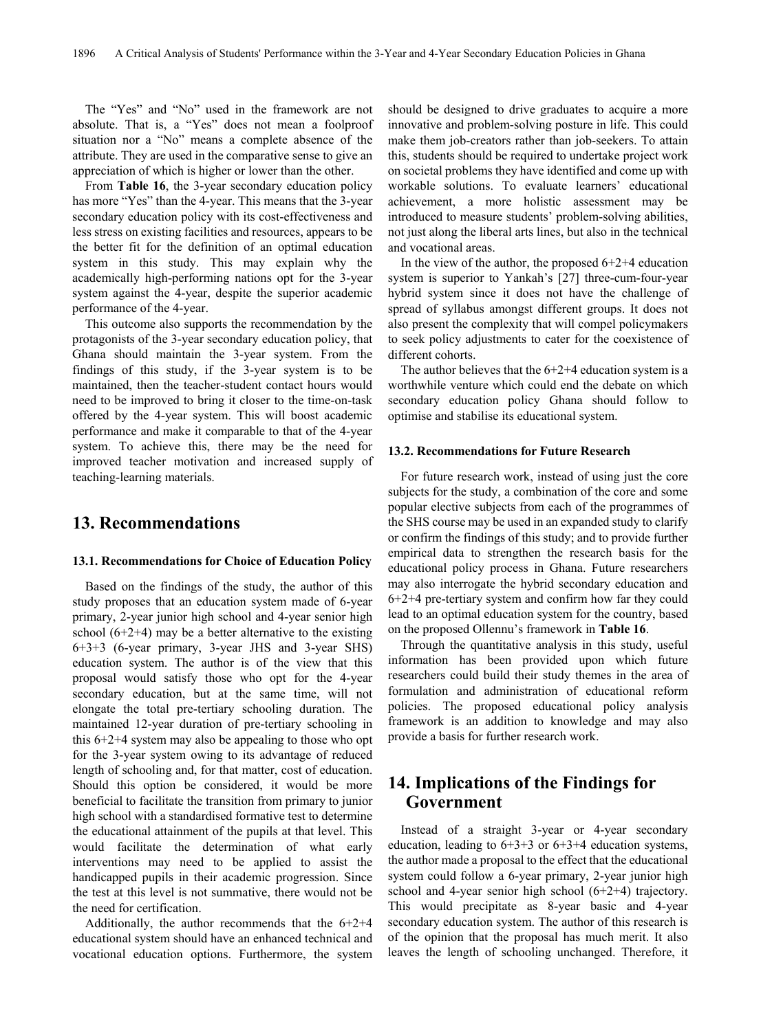The "Yes" and "No" used in the framework are not absolute. That is, a "Yes" does not mean a foolproof situation nor a "No" means a complete absence of the attribute. They are used in the comparative sense to give an appreciation of which is higher or lower than the other.

From **Table 16**, the 3-year secondary education policy has more "Yes" than the 4-year. This means that the 3-year secondary education policy with its cost-effectiveness and less stress on existing facilities and resources, appears to be the better fit for the definition of an optimal education system in this study. This may explain why the academically high-performing nations opt for the 3-year system against the 4-year, despite the superior academic performance of the 4-year.

This outcome also supports the recommendation by the protagonists of the 3-year secondary education policy, that Ghana should maintain the 3-year system. From the findings of this study, if the 3-year system is to be maintained, then the teacher-student contact hours would need to be improved to bring it closer to the time-on-task offered by the 4-year system. This will boost academic performance and make it comparable to that of the 4-year system. To achieve this, there may be the need for improved teacher motivation and increased supply of teaching-learning materials.

## **13. Recommendations**

#### **13.1. Recommendations for Choice of Education Policy**

Based on the findings of the study, the author of this study proposes that an education system made of 6-year primary, 2-year junior high school and 4-year senior high school  $(6+2+4)$  may be a better alternative to the existing 6+3+3 (6-year primary, 3-year JHS and 3-year SHS) education system. The author is of the view that this proposal would satisfy those who opt for the 4-year secondary education, but at the same time, will not elongate the total pre-tertiary schooling duration. The maintained 12-year duration of pre-tertiary schooling in this 6+2+4 system may also be appealing to those who opt for the 3-year system owing to its advantage of reduced length of schooling and, for that matter, cost of education. Should this option be considered, it would be more beneficial to facilitate the transition from primary to junior high school with a standardised formative test to determine the educational attainment of the pupils at that level. This would facilitate the determination of what early interventions may need to be applied to assist the handicapped pupils in their academic progression. Since the test at this level is not summative, there would not be the need for certification.

Additionally, the author recommends that the 6+2+4 educational system should have an enhanced technical and vocational education options. Furthermore, the system should be designed to drive graduates to acquire a more innovative and problem-solving posture in life. This could make them job-creators rather than job-seekers. To attain this, students should be required to undertake project work on societal problems they have identified and come up with workable solutions. To evaluate learners' educational achievement, a more holistic assessment may be introduced to measure students' problem-solving abilities, not just along the liberal arts lines, but also in the technical and vocational areas.

In the view of the author, the proposed  $6+2+4$  education system is superior to Yankah's [27] three-cum-four-year hybrid system since it does not have the challenge of spread of syllabus amongst different groups. It does not also present the complexity that will compel policymakers to seek policy adjustments to cater for the coexistence of different cohorts.

The author believes that the  $6+2+4$  education system is a worthwhile venture which could end the debate on which secondary education policy Ghana should follow to optimise and stabilise its educational system.

#### **13.2. Recommendations for Future Research**

For future research work, instead of using just the core subjects for the study, a combination of the core and some popular elective subjects from each of the programmes of the SHS course may be used in an expanded study to clarify or confirm the findings of this study; and to provide further empirical data to strengthen the research basis for the educational policy process in Ghana. Future researchers may also interrogate the hybrid secondary education and 6+2+4 pre-tertiary system and confirm how far they could lead to an optimal education system for the country, based on the proposed Ollennu's framework in **Table 16**.

Through the quantitative analysis in this study, useful information has been provided upon which future researchers could build their study themes in the area of formulation and administration of educational reform policies. The proposed educational policy analysis framework is an addition to knowledge and may also provide a basis for further research work.

# **14. Implications of the Findings for Government**

Instead of a straight 3-year or 4-year secondary education, leading to  $6+3+3$  or  $6+3+4$  education systems, the author made a proposal to the effect that the educational system could follow a 6-year primary, 2-year junior high school and 4-year senior high school (6+2+4) trajectory. This would precipitate as 8-year basic and 4-year secondary education system. The author of this research is of the opinion that the proposal has much merit. It also leaves the length of schooling unchanged. Therefore, it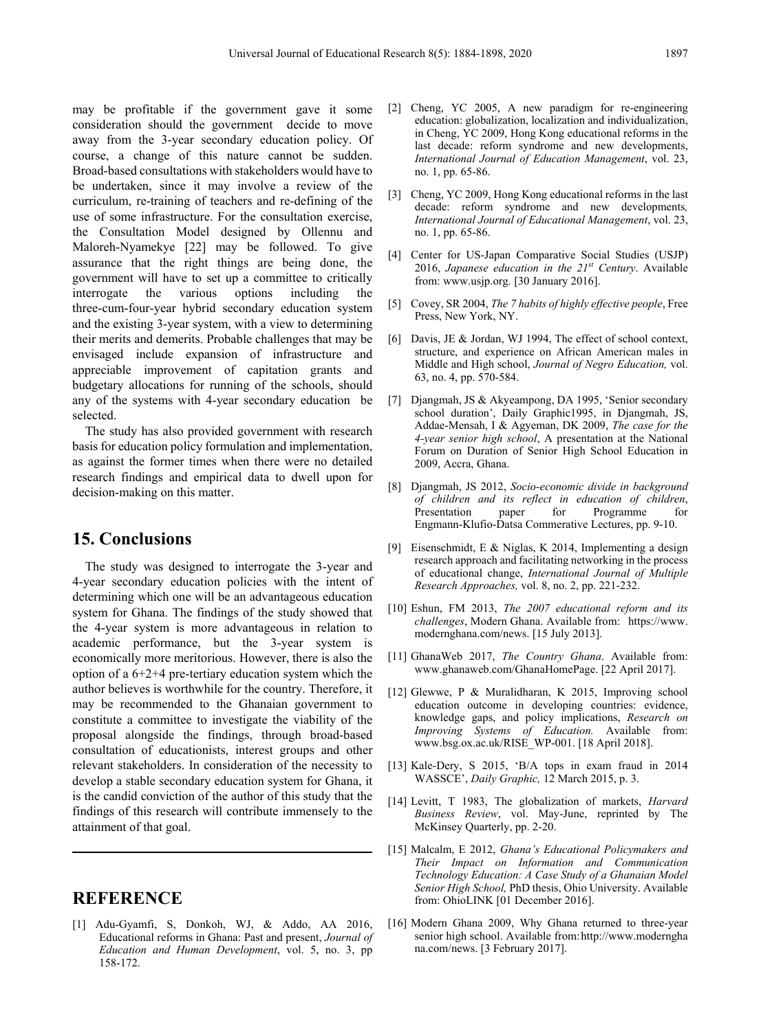may be profitable if the government gave it some consideration should the government decide to move away from the 3-year secondary education policy. Of course, a change of this nature cannot be sudden. Broad-based consultations with stakeholders would have to be undertaken, since it may involve a review of the curriculum, re-training of teachers and re-defining of the use of some infrastructure. For the consultation exercise, the Consultation Model designed by Ollennu and Maloreh-Nyamekye [22] may be followed. To give assurance that the right things are being done, the government will have to set up a committee to critically interrogate the various options including the three-cum-four-year hybrid secondary education system and the existing 3-year system, with a view to determining their merits and demerits. Probable challenges that may be envisaged include expansion of infrastructure and appreciable improvement of capitation grants and budgetary allocations for running of the schools, should any of the systems with 4-year secondary education be selected.

The study has also provided government with research basis for education policy formulation and implementation, as against the former times when there were no detailed research findings and empirical data to dwell upon for decision-making on this matter.

# **15. Conclusions**

The study was designed to interrogate the 3-year and 4-year secondary education policies with the intent of determining which one will be an advantageous education system for Ghana. The findings of the study showed that the 4-year system is more advantageous in relation to academic performance, but the 3-year system is economically more meritorious. However, there is also the option of a 6+2+4 pre-tertiary education system which the author believes is worthwhile for the country. Therefore, it may be recommended to the Ghanaian government to constitute a committee to investigate the viability of the proposal alongside the findings, through broad-based consultation of educationists, interest groups and other relevant stakeholders. In consideration of the necessity to develop a stable secondary education system for Ghana, it is the candid conviction of the author of this study that the findings of this research will contribute immensely to the attainment of that goal.

# **REFERENCE**

[1] Adu-Gyamfi, S, Donkoh, WJ, & Addo, AA 2016, Educational reforms in Ghana: Past and present, *Journal of Education and Human Development*, vol. 5, no. 3, pp 158-172.

- [2] Cheng, YC 2005, A new paradigm for re-engineering education: globalization, localization and individualization, in Cheng, YC 2009, Hong Kong educational reforms in the last decade: reform syndrome and new developments, *International Journal of Education Management*, vol. 23, no. 1, pp. 65-86.
- [3] Cheng, YC 2009, Hong Kong educational reforms in the last decade: reform syndrome and new developments, *International Journal of Educational Management*, vol. 23, no. 1, pp. 65-86.
- [4] Center for US-Japan Comparative Social Studies (USJP) 2016, *Japanese education in the 21st Century*. Available from: [www.usjp.org](http://www.usjp.org/)*.* [30 January 2016].
- [5] Covey, SR 2004, *The 7 habits of highly effective people*, Free Press, New York, NY.
- [6] Davis, JE & Jordan, WJ 1994, The effect of school context, structure, and experience on African American males in Middle and High school, *Journal of Negro Education,* vol. 63, no. 4, pp. 570-584.
- [7] Djangmah, JS & Akyeampong, DA 1995, 'Senior secondary school duration', Daily Graphic1995, in Djangmah, JS, Addae-Mensah, I & Agyeman, DK 2009, *The case for the 4-year senior high school*, A presentation at the National Forum on Duration of Senior High School Education in 2009, Accra, Ghana.
- [8] Djangmah, JS 2012, *Socio-economic divide in background of children and its reflect in education of children*, Programme Engmann-Klufio-Datsa Commerative Lectures, pp. 9-10.
- [9] Eisenschmidt, E & Niglas, K 2014, Implementing a design research approach and facilitating networking in the process of educational change, *International Journal of Multiple Research Approaches,* vol. 8, no. 2, pp. 221-232.
- [10] Eshun, FM 2013, *The 2007 educational reform and its challenges*, Modern Ghana. Available from[:](https://www.modernghana.com/news) [https://www.](https://www.modernghana.com/news) [modernghana.com/news.](https://www.modernghana.com/news) [15 July 2013].
- [11] GhanaWeb 2017, *The Country Ghana*. Available from: [www.ghanaweb.com/GhanaHomePage. \[22 April 2017\]](http://www.ghanaweb.com/GhanaHomePage.%20%5b22%20April%202017).
- [12] Glewwe, P & Muralidharan, K 2015, Improving school education outcome in developing countries: evidence, knowledge gaps, and policy implications, *Research on Improving Systems of Education.* Available from: www.bsg.ox.ac.uk/RISE\_WP-001. [18 April 2018].
- [13] Kale-Dery, S 2015, 'B/A tops in exam fraud in 2014 WASSCE', *Daily Graphic,* 12 March 2015, p. 3.
- [14] Levitt, T 1983, The globalization of markets, *Harvard Business Review*, vol. May-June, reprinted by The McKinsey Quarterly, pp. 2-20.
- [15] Malcalm, E 2012, *Ghana's Educational Policymakers and Their Impact on Information and Communication Technology Education: A Case Study of a Ghanaian Model Senior High School,* PhD thesis, Ohio University. Available from: OhioLINK [01 December 2016].
- [16] Modern Ghana 2009, Why Ghana returned to three-year senior high school. Available from[:http://www.moderngha](http://www.modernghana.com/news) [na.com/news.](http://www.modernghana.com/news) [3 February 2017].